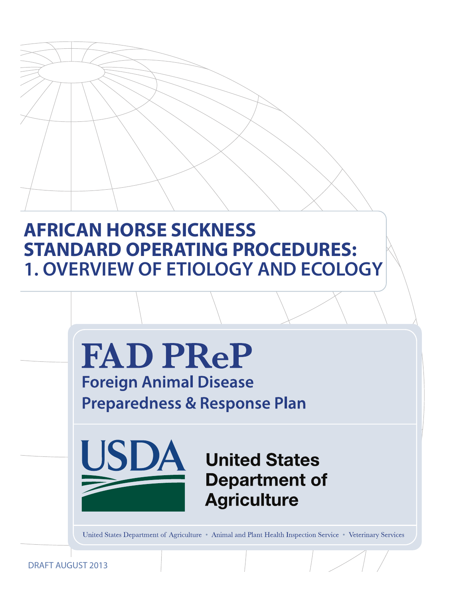# **AFRICAN HORSE SICKNESS STANDARD OPERATING PROCEDURES: 1. OVERVIEW OF ETIOLOGY AND ECOLOGY**



United States Department of Agriculture • Animal and Plant Health Inspection Service • Veterinary Services

DRAFT AUGUST 2013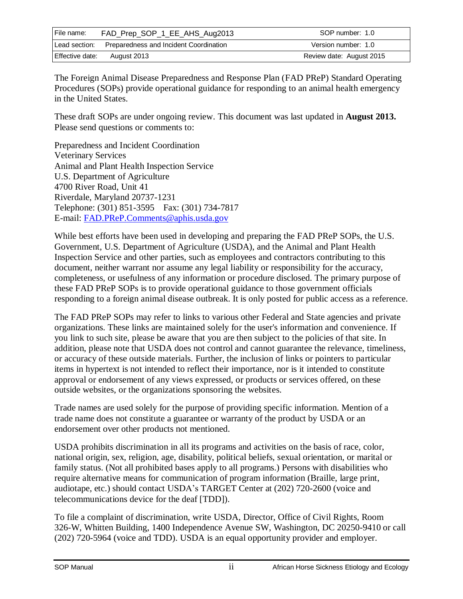| File name:      | FAD_Prep_SOP_1_EE_AHS_Aug2013          | SOP number: 1.0          |
|-----------------|----------------------------------------|--------------------------|
| Lead section:   | Preparedness and Incident Coordination | Version number: 1.0      |
| Effective date: | August 2013                            | Review date: August 2015 |

The Foreign Animal Disease Preparedness and Response Plan (FAD PReP) Standard Operating Procedures (SOPs) provide operational guidance for responding to an animal health emergency in the United States.

These draft SOPs are under ongoing review. This document was last updated in **August 2013.**  Please send questions or comments to:

Preparedness and Incident Coordination Veterinary Services Animal and Plant Health Inspection Service U.S. Department of Agriculture 4700 River Road, Unit 41 Riverdale, Maryland 20737-1231 Telephone: (301) 851-3595 Fax: (301) 734-7817 E-mail: [FAD.PReP.Comments@aphis.usda.gov](mailto:FAD.PReP.Comments@aphis.usda.gov)

While best efforts have been used in developing and preparing the FAD PReP SOPs, the U.S. Government, U.S. Department of Agriculture (USDA), and the Animal and Plant Health Inspection Service and other parties, such as employees and contractors contributing to this document, neither warrant nor assume any legal liability or responsibility for the accuracy, completeness, or usefulness of any information or procedure disclosed. The primary purpose of these FAD PReP SOPs is to provide operational guidance to those government officials responding to a foreign animal disease outbreak. It is only posted for public access as a reference.

The FAD PReP SOPs may refer to links to various other Federal and State agencies and private organizations. These links are maintained solely for the user's information and convenience. If you link to such site, please be aware that you are then subject to the policies of that site. In addition, please note that USDA does not control and cannot guarantee the relevance, timeliness, or accuracy of these outside materials. Further, the inclusion of links or pointers to particular items in hypertext is not intended to reflect their importance, nor is it intended to constitute approval or endorsement of any views expressed, or products or services offered, on these outside websites, or the organizations sponsoring the websites.

Trade names are used solely for the purpose of providing specific information. Mention of a trade name does not constitute a guarantee or warranty of the product by USDA or an endorsement over other products not mentioned.

USDA prohibits discrimination in all its programs and activities on the basis of race, color, national origin, sex, religion, age, disability, political beliefs, sexual orientation, or marital or family status. (Not all prohibited bases apply to all programs.) Persons with disabilities who require alternative means for communication of program information (Braille, large print, audiotape, etc.) should contact USDA's TARGET Center at (202) 720-2600 (voice and telecommunications device for the deaf [TDD]).

To file a complaint of discrimination, write USDA, Director, Office of Civil Rights, Room 326-W, Whitten Building, 1400 Independence Avenue SW, Washington, DC 20250-9410 or call (202) 720-5964 (voice and TDD). USDA is an equal opportunity provider and employer.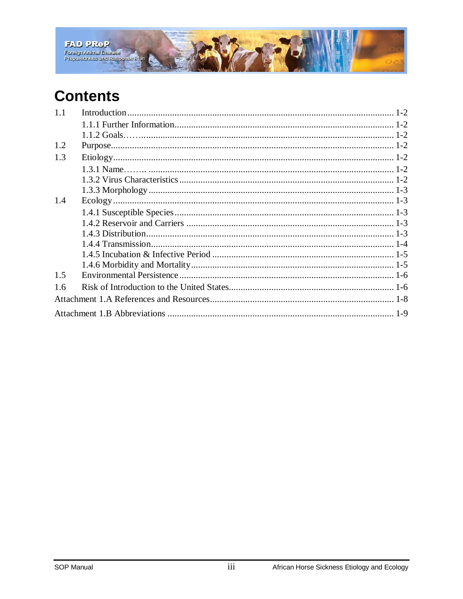

# **Contents**

| 1.1 |  |
|-----|--|
|     |  |
|     |  |
| 1.2 |  |
| 1.3 |  |
|     |  |
|     |  |
|     |  |
| 1.4 |  |
|     |  |
|     |  |
|     |  |
|     |  |
|     |  |
|     |  |
| 1.5 |  |
| 1.6 |  |
|     |  |
|     |  |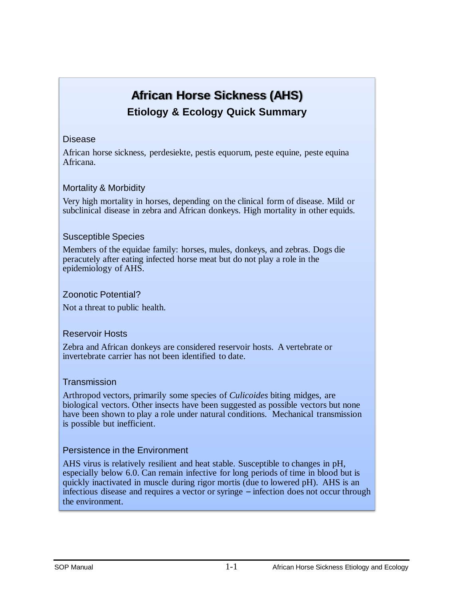# **African Horse Sickness (AHS) Etiology & Ecology Quick Summary**

#### Disease

African horse sickness, perdesiekte, pestis equorum, peste equine, peste equina Africana.

#### Mortality & Morbidity

Very high mortality in horses, depending on the clinical form of disease. Mild or subclinical disease in zebra and African donkeys. High mortality in other equids.

#### Susceptible Species

Members of the equidae family: horses, mules, donkeys, and zebras. Dogs die peracutely after eating infected horse meat but do not play a role in the epidemiology of AHS.

#### Zoonotic Potential?

Not a threat to public health.

#### Reservoir Hosts

Zebra and African donkeys are considered reservoir hosts. A vertebrate or invertebrate carrier has not been identified to date.

#### **Transmission**

Arthropod vectors, primarily some species of *Culicoides* biting midges, are biological vectors. Other insects have been suggested as possible vectors but none have been shown to play a role under natural conditions. Mechanical transmission is possible but inefficient.

#### Persistence in the Environment

AHS virus is relatively resilient and heat stable. Susceptible to changes in pH, especially below 6.0. Can remain infective for long periods of time in blood but is quickly inactivated in muscle during rigor mortis (due to lowered pH). AHS is an infectious disease and requires a vector or syringe – infection does not occur through the environment.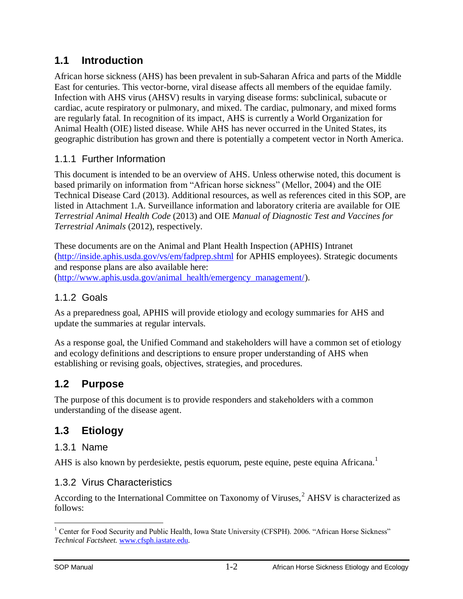## <span id="page-4-0"></span>**1.1 Introduction**

African horse sickness (AHS) has been prevalent in sub-Saharan Africa and parts of the Middle East for centuries. This vector-borne, viral disease affects all members of the equidae family. Infection with AHS virus (AHSV) results in varying disease forms: subclinical, subacute or cardiac, acute respiratory or pulmonary, and mixed. The cardiac, pulmonary, and mixed forms are regularly fatal. In recognition of its impact, AHS is currently a World Organization for Animal Health (OIE) listed disease. While AHS has never occurred in the United States, its geographic distribution has grown and there is potentially a competent vector in North America.

## <span id="page-4-1"></span>1.1.1 Further Information

This document is intended to be an overview of AHS. Unless otherwise noted, this document is based primarily on information from "African horse sickness" (Mellor, 2004) and the OIE Technical Disease Card (2013). Additional resources, as well as references cited in this SOP, are listed in Attachment 1.A. Surveillance information and laboratory criteria are available for OIE *Terrestrial Animal Health Code* (2013) and OIE *Manual of Diagnostic Test and Vaccines for Terrestrial Animals* (2012), respectively.

These documents are on the Animal and Plant Health Inspection (APHIS) Intranet [\(http://inside.aphis.usda.gov/vs/em/fadprep.shtml](http://inside.aphis.usda.gov/vs/em/fadprep.shtml) for APHIS employees). Strategic documents and response plans are also available here: [\(http://www.aphis.usda.gov/animal\\_health/emergency\\_management/\)](http://www.aphis.usda.gov/animal_health/emergency_management/).

#### <span id="page-4-2"></span>1.1.2 Goals

As a preparedness goal, APHIS will provide etiology and ecology summaries for AHS and update the summaries at regular intervals.

As a response goal, the Unified Command and stakeholders will have a common set of etiology and ecology definitions and descriptions to ensure proper understanding of AHS when establishing or revising goals, objectives, strategies, and procedures.

# <span id="page-4-3"></span>**1.2 Purpose**

The purpose of this document is to provide responders and stakeholders with a common understanding of the disease agent.

## <span id="page-4-4"></span>**1.3 Etiology**

#### <span id="page-4-5"></span>1.3.1 Name

AHS is also known by perdesiekte, pestis equorum, peste equine, peste equina Africana.<sup>1</sup>

#### <span id="page-4-6"></span>1.3.2 Virus Characteristics

According to the International Committee on Taxonomy of Viruses,<sup>2</sup> AHSV is characterized as follows:

 $\overline{a}$ <sup>1</sup> Center for Food Security and Public Health, Iowa State University (CFSPH). 2006. "African Horse Sickness" *Technical Factsheet.* [www.cfsph.iastate.edu.](http://www.cfsph.iastate.edu/)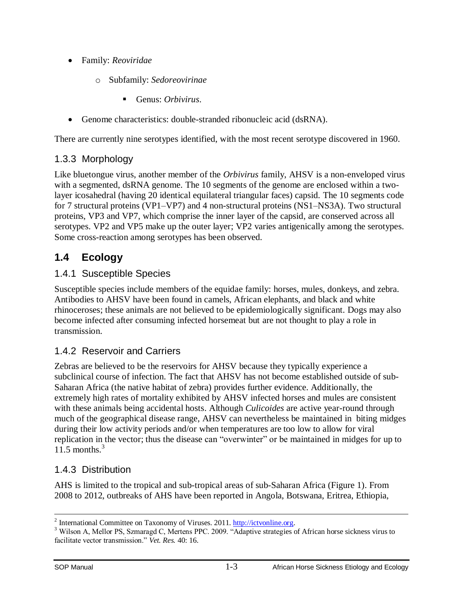- Family: *Reoviridae*
	- o Subfamily: *Sedoreovirinae*
		- Genus: *Orbivirus*.
- Genome characteristics: double-stranded ribonucleic acid (dsRNA).

There are currently nine serotypes identified, with the most recent serotype discovered in 1960.

## <span id="page-5-0"></span>1.3.3 Morphology

Like bluetongue virus, another member of the *Orbivirus* family, AHSV is a non-enveloped virus with a segmented, dsRNA genome. The 10 segments of the genome are enclosed within a twolayer icosahedral (having 20 identical equilateral triangular faces) capsid. The 10 segments code for 7 structural proteins (VP1–VP7) and 4 non-structural proteins (NS1–NS3A). Two structural proteins, VP3 and VP7, which comprise the inner layer of the capsid, are conserved across all serotypes. VP2 and VP5 make up the outer layer; VP2 varies antigenically among the serotypes. Some cross-reaction among serotypes has been observed.

# <span id="page-5-1"></span>**1.4 Ecology**

#### <span id="page-5-2"></span>1.4.1 Susceptible Species

Susceptible species include members of the equidae family: horses, mules, donkeys, and zebra. Antibodies to AHSV have been found in camels, African elephants, and black and white rhinoceroses; these animals are not believed to be epidemiologically significant. Dogs may also become infected after consuming infected horsemeat but are not thought to play a role in transmission.

### <span id="page-5-3"></span>1.4.2 Reservoir and Carriers

Zebras are believed to be the reservoirs for AHSV because they typically experience a subclinical course of infection. The fact that AHSV has not become established outside of sub-Saharan Africa (the native habitat of zebra) provides further evidence. Additionally, the extremely high rates of mortality exhibited by AHSV infected horses and mules are consistent with these animals being accidental hosts. Although *Culicoides* are active year-round through much of the geographical disease range, AHSV can nevertheless be maintained in biting midges during their low activity periods and/or when temperatures are too low to allow for viral replication in the vector; thus the disease can "overwinter" or be maintained in midges for up to 11.5 months. 3

### <span id="page-5-4"></span>1.4.3 Distribution

AHS is limited to the tropical and sub-tropical areas of sub-Saharan Africa (Figure 1). From 2008 to 2012, outbreaks of AHS have been reported in Angola, Botswana, Eritrea, Ethiopia,

 $\overline{a}$ 

<sup>&</sup>lt;sup>2</sup> International Committee on Taxonomy of Viruses. 2011. [http://ictvonline.org.](http://ictvonline.org/)

<sup>&</sup>lt;sup>3</sup> Wilson A, Mellor PS, Szmaragd C, Mertens PPC. 2009. "Adaptive strategies of African horse sickness virus to facilitate vector transmission." *Vet. Res.* 40: 16.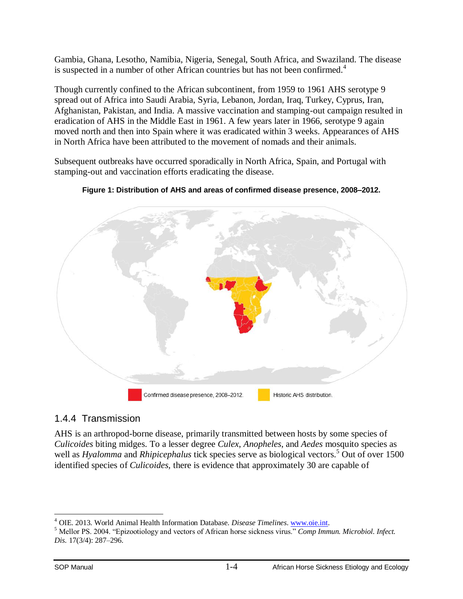Gambia, Ghana, Lesotho, Namibia, Nigeria, Senegal, South Africa, and Swaziland. The disease is suspected in a number of other African countries but has not been confirmed.<sup>4</sup>

Though currently confined to the African subcontinent, from 1959 to 1961 AHS serotype 9 spread out of Africa into Saudi Arabia, Syria, Lebanon, Jordan, Iraq, Turkey, Cyprus, Iran, Afghanistan, Pakistan, and India. A massive vaccination and stamping-out campaign resulted in eradication of AHS in the Middle East in 1961. A few years later in 1966, serotype 9 again moved north and then into Spain where it was eradicated within 3 weeks. Appearances of AHS in North Africa have been attributed to the movement of nomads and their animals.

Subsequent outbreaks have occurred sporadically in North Africa, Spain, and Portugal with stamping-out and vaccination efforts eradicating the disease.





### <span id="page-6-0"></span>1.4.4 Transmission

AHS is an arthropod-borne disease, primarily transmitted between hosts by some species of *Culicoides* biting midges. To a lesser degree *Culex*, *Anopheles*, and *Aedes* mosquito species as well as *Hyalomma* and *Rhipicephalus* tick species serve as biological vectors.<sup>5</sup> Out of over 1500 identified species of *Culicoides,* there is evidence that approximately 30 are capable of

 $\overline{a}$ <sup>4</sup> OIE. 2013. World Animal Health Information Database. *Disease Timelines*. [www.oie.int.](http://www.oie.int/)

<sup>5</sup> Mellor PS. 2004. "Epizootiology and vectors of African horse sickness virus." *Comp Immun. Microbiol. Infect. Dis.* 17(3/4): 287–296.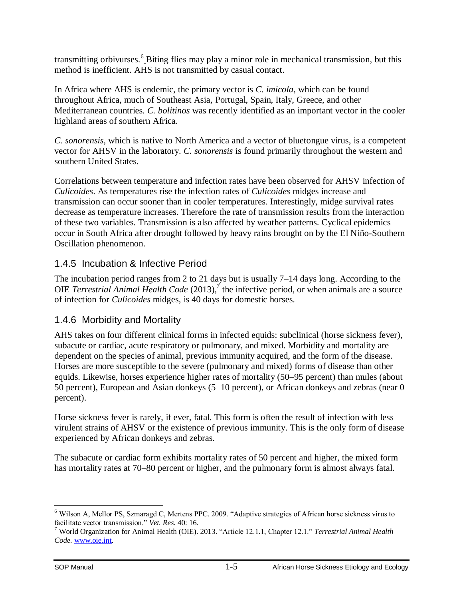transmitting orbivurses.<sup>6</sup> Biting flies may play a minor role in mechanical transmission, but this method is inefficient. AHS is not transmitted by casual contact.

In Africa where AHS is endemic, the primary vector is *C. imicola*, which can be found throughout Africa, much of Southeast Asia, Portugal, Spain, Italy, Greece, and other Mediterranean countries. *C. bolitinos* was recently identified as an important vector in the cooler highland areas of southern Africa.

*C. sonorensis*, which is native to North America and a vector of bluetongue virus, is a competent vector for AHSV in the laboratory. *C. sonorensis* is found primarily throughout the western and southern United States.

Correlations between temperature and infection rates have been observed for AHSV infection of *Culicoides*. As temperatures rise the infection rates of *Culicoides* midges increase and transmission can occur sooner than in cooler temperatures. Interestingly, midge survival rates decrease as temperature increases. Therefore the rate of transmission results from the interaction of these two variables. Transmission is also affected by weather patterns. Cyclical epidemics occur in South Africa after drought followed by heavy rains brought on by the El Niño-Southern Oscillation phenomenon.

### <span id="page-7-0"></span>1.4.5 Incubation & Infective Period

The incubation period ranges from 2 to 21 days but is usually 7–14 days long. According to the OIE *Terrestrial Animal Health Code* (2013),<sup>7</sup> the infective period, or when animals are a source of infection for *Culicoides* midges, is 40 days for domestic horses.

### <span id="page-7-1"></span>1.4.6 Morbidity and Mortality

AHS takes on four different clinical forms in infected equids: subclinical (horse sickness fever), subacute or cardiac, acute respiratory or pulmonary, and mixed. Morbidity and mortality are dependent on the species of animal, previous immunity acquired, and the form of the disease. Horses are more susceptible to the severe (pulmonary and mixed) forms of disease than other equids. Likewise, horses experience higher rates of mortality (50–95 percent) than mules (about 50 percent), European and Asian donkeys (5–10 percent), or African donkeys and zebras (near 0 percent).

Horse sickness fever is rarely, if ever, fatal. This form is often the result of infection with less virulent strains of AHSV or the existence of previous immunity. This is the only form of disease experienced by African donkeys and zebras.

The subacute or cardiac form exhibits mortality rates of 50 percent and higher, the mixed form has mortality rates at 70–80 percent or higher, and the pulmonary form is almost always fatal.

 $\overline{a}$ 

<sup>6</sup> Wilson A, Mellor PS, Szmaragd C, Mertens PPC. 2009. "Adaptive strategies of African horse sickness virus to facilitate vector transmission." *Vet. Res.* 40: 16.

<sup>7</sup> World Organization for Animal Health (OIE). 2013. "Article 12.1.1, Chapter 12.1." *Terrestrial Animal Health Code.* [www.oie.int.](http://www.oie.int/)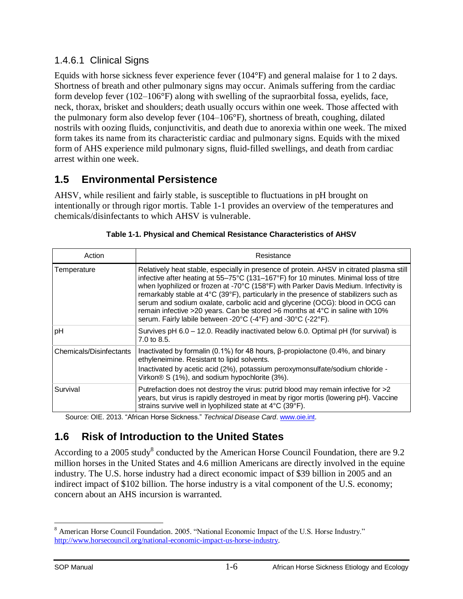### 1.4.6.1 Clinical Signs

Equids with horse sickness fever experience fever (104°F) and general malaise for 1 to 2 days. Shortness of breath and other pulmonary signs may occur. Animals suffering from the cardiac form develop fever (102–106°F) along with swelling of the supraorbital fossa, eyelids, face, neck, thorax, brisket and shoulders; death usually occurs within one week. Those affected with the pulmonary form also develop fever (104–106°F), shortness of breath, coughing, dilated nostrils with oozing fluids, conjunctivitis, and death due to anorexia within one week. The mixed form takes its name from its characteristic cardiac and pulmonary signs. Equids with the mixed form of AHS experience mild pulmonary signs, fluid-filled swellings, and death from cardiac arrest within one week.

# <span id="page-8-0"></span>**1.5 Environmental Persistence**

AHSV, while resilient and fairly stable, is susceptible to fluctuations in pH brought on intentionally or through rigor mortis. Table 1-1 provides an overview of the temperatures and chemicals/disinfectants to which AHSV is vulnerable.

| Action                  | Resistance                                                                                                                                                                                                                                                                                                                                                                                                                                                                                                                                                                                         |
|-------------------------|----------------------------------------------------------------------------------------------------------------------------------------------------------------------------------------------------------------------------------------------------------------------------------------------------------------------------------------------------------------------------------------------------------------------------------------------------------------------------------------------------------------------------------------------------------------------------------------------------|
| Temperature             | Relatively heat stable, especially in presence of protein. AHSV in citrated plasma still<br>infective after heating at 55-75°C (131-167°F) for 10 minutes. Minimal loss of titre<br>when lyophilized or frozen at -70°C (158°F) with Parker Davis Medium. Infectivity is<br>remarkably stable at 4°C (39°F), particularly in the presence of stabilizers such as<br>serum and sodium oxalate, carbolic acid and glycerine (OCG): blood in OCG can<br>remain infective >20 years. Can be stored >6 months at 4°C in saline with 10%<br>serum. Fairly labile between -20°C (-4°F) and -30°C (-22°F). |
| рH                      | Survives pH 6.0 - 12.0. Readily inactivated below 6.0. Optimal pH (for survival) is<br>7.0 to 8.5.                                                                                                                                                                                                                                                                                                                                                                                                                                                                                                 |
| Chemicals/Disinfectants | Inactivated by formalin (0.1%) for 48 hours, $\beta$ -propiolactone (0.4%, and binary<br>ethyleneimine. Resistant to lipid solvents.<br>Inactivated by acetic acid (2%), potassium peroxymonsulfate/sodium chloride -<br>Virkon® S (1%), and sodium hypochlorite (3%).                                                                                                                                                                                                                                                                                                                             |
| Survival                | Putrefaction does not destroy the virus: putrid blood may remain infective for >2<br>years, but virus is rapidly destroyed in meat by rigor mortis (lowering pH). Vaccine<br>strains survive well in lyophilized state at 4°C (39°F).                                                                                                                                                                                                                                                                                                                                                              |

| Table 1-1. Physical and Chemical Resistance Characteristics of AHSV |
|---------------------------------------------------------------------|
|---------------------------------------------------------------------|

Source: OIE. 2013. "African Horse Sickness." *Technical Disease Card*. [www.oie.int.](http://www.oie.int/)

# <span id="page-8-1"></span>**1.6 Risk of Introduction to the United States**

According to a 2005 study<sup>8</sup> conducted by the American Horse Council Foundation, there are 9.2 million horses in the United States and 4.6 million Americans are directly involved in the equine industry. The U.S. horse industry had a direct economic impact of \$39 billion in 2005 and an indirect impact of \$102 billion. The horse industry is a vital component of the U.S. economy; concern about an AHS incursion is warranted.

 $\overline{a}$ <sup>8</sup> American Horse Council Foundation. 2005. "National Economic Impact of the U.S. Horse Industry." [http://www.horsecouncil.org/national-economic-impact-us-horse-industry.](http://www.horsecouncil.org/national-economic-impact-us-horse-industry)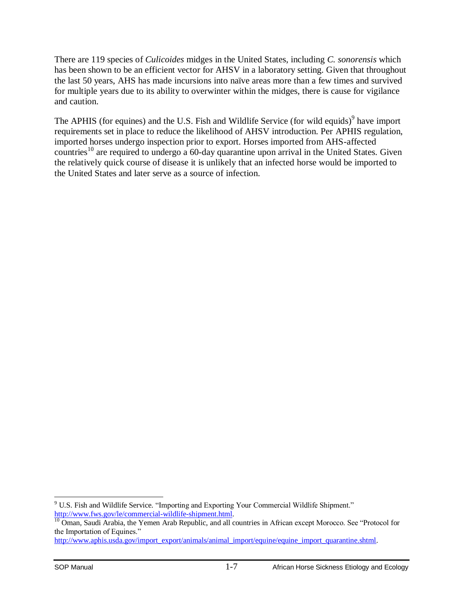There are 119 species of *Culicoides* midges in the United States, including *C. sonorensis* which has been shown to be an efficient vector for AHSV in a laboratory setting. Given that throughout the last 50 years, AHS has made incursions into naïve areas more than a few times and survived for multiple years due to its ability to overwinter within the midges, there is cause for vigilance and caution.

The APHIS (for equines) and the U.S. Fish and Wildlife Service (for wild equids)<sup>9</sup> have import requirements set in place to reduce the likelihood of AHSV introduction. Per APHIS regulation, imported horses undergo inspection prior to export. Horses imported from AHS-affected countries<sup>10</sup> are required to undergo a 60-day quarantine upon arrival in the United States. Given the relatively quick course of disease it is unlikely that an infected horse would be imported to the United States and later serve as a source of infection.

 $\overline{a}$  $9$  U.S. Fish and Wildlife Service. "Importing and Exporting Your Commercial Wildlife Shipment." [http://www.fws.gov/le/commercial-wildlife-shipment.html.](http://www.fws.gov/le/commercial-wildlife-shipment.html)

<sup>&</sup>lt;sup>10</sup> Oman, Saudi Arabia, the Yemen Arab Republic, and all countries in African except Morocco. See "Protocol for the Importation of Equines."

[http://www.aphis.usda.gov/import\\_export/animals/animal\\_import/equine/equine\\_import\\_quarantine.shtml.](http://www.aphis.usda.gov/import_export/animals/animal_import/equine/equine_import_quarantine.shtml)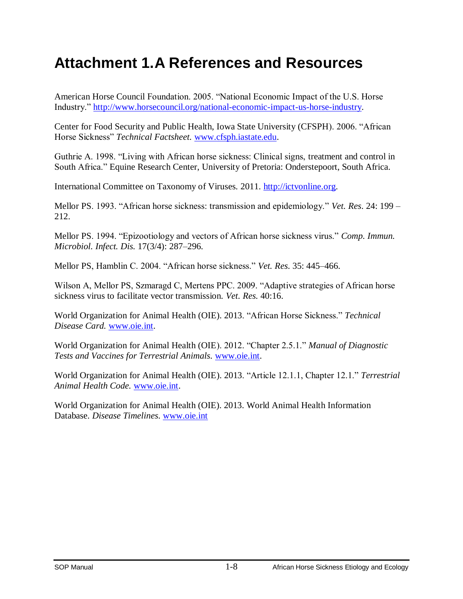# <span id="page-10-0"></span>**Attachment 1.A References and Resources**

American Horse Council Foundation. 2005. "National Economic Impact of the U.S. Horse Industry." [http://www.horsecouncil.org/national-economic-impact-us-horse-industry.](http://www.horsecouncil.org/national-economic-impact-us-horse-industry)

Center for Food Security and Public Health, Iowa State University (CFSPH). 2006. "African Horse Sickness" *Technical Factsheet.* [www.cfsph.iastate.edu.](http://www.cfsph.iastate.edu/)

Guthrie A. 1998. "Living with African horse sickness: Clinical signs, treatment and control in South Africa." Equine Research Center, University of Pretoria: Onderstepoort, South Africa.

International Committee on Taxonomy of Viruses. 2011. [http://ictvonline.org.](http://ictvonline.org/)

Mellor PS. 1993. "African horse sickness: transmission and epidemiology." *Vet. Res*. 24: 199 – 212.

Mellor PS. 1994. "Epizootiology and vectors of African horse sickness virus." *Comp. Immun. Microbiol. Infect. Dis.* 17(3/4): 287–296.

Mellor PS, Hamblin C. 2004. "African horse sickness." *Vet. Res*. 35: 445–466.

Wilson A, Mellor PS, Szmaragd C, Mertens PPC. 2009. "Adaptive strategies of African horse sickness virus to facilitate vector transmission. *Vet. Res.* 40:16.

World Organization for Animal Health (OIE). 2013. "African Horse Sickness." *Technical Disease Card.* [www.oie.int.](http://www.oie.int/)

World Organization for Animal Health (OIE). 2012. "Chapter 2.5.1." *Manual of Diagnostic Tests and Vaccines for Terrestrial Animals.* [www.oie.int.](http://www.oie.int/)

World Organization for Animal Health (OIE). 2013. "Article 12.1.1, Chapter 12.1." *Terrestrial Animal Health Code.* [www.oie.int.](http://www.oie.int/)

World Organization for Animal Health (OIE). 2013. World Animal Health Information Database. *Disease Timelines*. [www.oie.int](http://www.oie.int/)